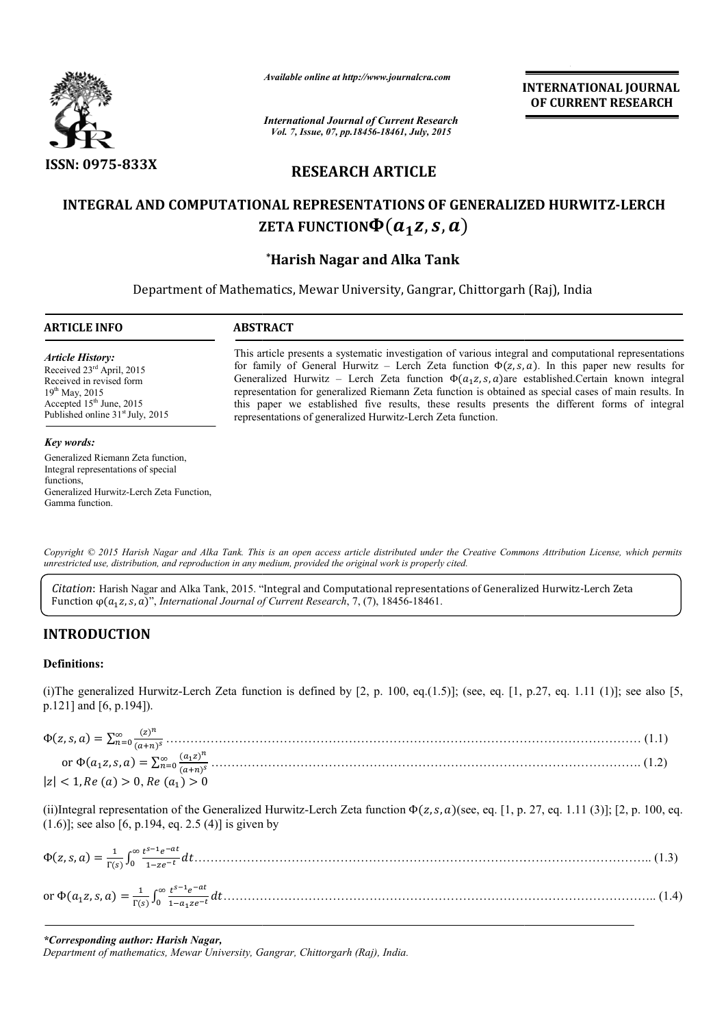

*Available online at http://www.journalcra.com*

*International Journal of Current Research Vol. 7, Issue, 07, pp.18456-18461, July, 2015*

**INTERNATIONAL INTERNATIONAL JOURNAL OF CURRENT RESEARCH** 

# **RESEARCH ARTICLE**

# **INTEGRAL AND COMPUTATIONAL REPRESENTATIONS OF GENERALIZED HURWITZ HURWITZ-LERCH**  ZETA FUNCTION $\boldsymbol{\Phi}(\boldsymbol{a_1z},\boldsymbol{s},\boldsymbol{a})$

# **\*Harish Nagar and Alka Tank**

Department of Mathematics, Mewar University, Gangrar, Chittorgarh (Raj), India

1

### **ARTICLE INFO ABSTRACT**

*Article History:* Received 23rd April, 2015 Received in revised form 19<sup>th</sup> May, 2015 Accepted 15<sup>th</sup> June, 2015 Published online 31<sup>st</sup> July, 2015 This article presents a systematic investigation of various integral and computational representations for family of General Hurwitz – Lerch Zeta function  $\Phi(z, s, a)$ . In this paper new results for Generalized Hurwitz – Lerch Zeta function  $\Phi(a_1 z, s, a)$ are established.Certain known integral representation for generalized Riemann Zeta function is obtained as special cases of main results. In this paper w we established five results, these results presents the different forms of integral representations of generalized Hurwitz-Lerch Zeta function. established.Certain known integral<br>ed as special cases of main results. In<br>nts the different forms of integral

#### *Key words:*

Generalized Riemann Zeta function, Integral representations of special functions, Generalized Hurwitz-Lerch Zeta Function, Gamma function.

Copyright © 2015 Harish Nagar and Alka Tank. This is an open access article distributed under the Creative Commons Attribution License, which permits *unrestricted use, distribution, and reproduction in any medium, provided the original work is properly cited.*

Citation: Harish Nagar and Alka Tank, 2015. "Integral and Computational representations of Generalized Hurwitz-Lerch Zeta Function  $\varphi(a_1 z, s, a)$ ", *International Journal of Current Research*, 7, (7), 18456-18461.

## **INTRODUCTION**

### **Definitions:**

(i)The generalized Hurwitz-Lerch Zeta function is defined by [2, p. 100, eq.(1.5)]; (see, eq. [1, p.27, eq. 1.11 (1)]; see also [5, p.121] and [6, p.194]).<br>  $\Phi(z, s, a) = \sum_{n=0}^{\infty} \frac{(z)^n}{(z_1 - x_2)^n}$  (1.1) p.121] and [6, p.194]).

| $ z $ < 1, Re (a) > 0, Re (a <sub>1</sub> ) > 0                                                                                                 |
|-------------------------------------------------------------------------------------------------------------------------------------------------|
| (ii) Integral representation of the Generalized Hurwitz-Lerch Zeta function $\Phi(z, s, a)$ (see, eq. [1, p. 27, eq. 1.11 (3)]; [2, p. 100, eq. |

 $(1.6)$ ]; see also [6, p.194, eq. 2.5 (4)] is given by  $(1.3)$ 

| $\Phi(z,s,a) = \frac{1}{\Gamma(s)} \int_0^\infty \frac{t^{s-1} e^{-at}}{1 - z e^{-t}} dt \dots$          |  |
|----------------------------------------------------------------------------------------------------------|--|
| or $\Phi(a_1 z, s, a) = \frac{1}{\Gamma(s)} \int_0^\infty \frac{t^{s-1} e^{-at}}{1 - a_1 z e^{-t}} dt$ . |  |



# *\*Corresponding author: Harish Nagar,*

*Department of mathematics, Mewar University, Gangrar, Chittorgarh (Raj), India.*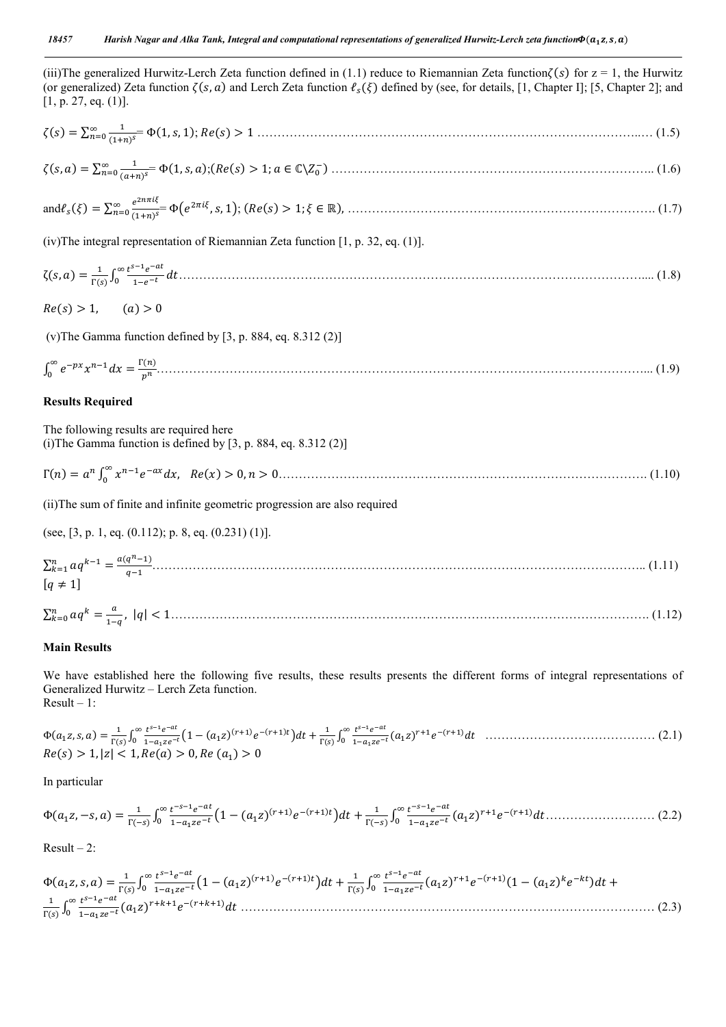(iii)The generalized Hurwitz-Lerch Zeta function defined in (1.1) reduce to Riemannian Zeta function $\zeta(s)$  for  $z = 1$ , the Hurwitz (or generalized) Zeta function  $\zeta(s, a)$  and Lerch Zeta function  $\ell_s(\xi)$  defined by (see, for details, [1, Chapter I]; [5, Chapter 2]; and  $[1, p. 27, eq. (1)].$ 

() = ∑ () = Φ(1, , 1); () > 1 …………………………………………………………………………………..… (1.5)

(, ) = ∑ () = Φ(1, , );(() > 1; ∈ ℂ\ ) …………………………………………………………………….. (1.6)

and 
$$
\ell_s(\xi) = \sum_{n=0}^{\infty} \frac{e^{2n\pi i \xi}}{(1+n)^s} \Phi(e^{2\pi i \xi}, s, 1); (Re(s) > 1; \xi \in \mathbb{R}),
$$
 (1.7)

(iv)The integral representation of Riemannian Zeta function [1, p. 32, eq. (1)].

ζ(, ) = () <sup>∫</sup> …………………………………………………………………………………………………….... (1.8)

 $Re(s) > 1,$  (a) > 0

(v)The Gamma function defined by [3, p. 884, eq. 8.312 (2)]

$$
\int_0^\infty e^{-px} x^{n-1} dx = \frac{\Gamma(n)}{p^n} \tag{1.9}
$$

### **Results Required**

The following results are required here (i) The Gamma function is defined by  $[3, p. 884, eq. 8.312(2)]$ 

Γ() = ∫ , () > 0, > 0………………………………………………………………………………. (1.10)

(ii)The sum of finite and infinite geometric progression are also required

(see,  $[3, p. 1, eq. (0.112); p. 8, eq. (0.231) (1)].$ 

$$
\sum_{k=1}^{n} aq^{k-1} = \frac{a(q^n - 1)}{q - 1} \tag{1.11}
$$
\n
$$
[q \neq 1]
$$
\n
$$
\sum_{k=0}^{n} aq^k = \frac{a}{1 - q}, \quad |q| < 1 \tag{1.12}
$$

### **Main Results**

We have established here the following five results, these results presents the different forms of integral representations of Generalized Hurwitz – Lerch Zeta function. Result – 1:

Φ(, , ) <sup>=</sup> () <sup>∫</sup> 1 <sup>−</sup> ()() () + () <sup>∫</sup> ()() …………………………………… (2.1) () > 1,|| < 1, () > 0, () > 0

In particular

$$
\Phi(a_1z, -s, a) = \frac{1}{\Gamma(-s)} \int_0^\infty \frac{t^{-s-1}e^{-at}}{1 - a_1ze^{-t}} \Big(1 - (a_1z)^{(r+1)}e^{-(r+1)t}\Big)dt + \frac{1}{\Gamma(-s)} \int_0^\infty \frac{t^{-s-1}e^{-at}}{1 - a_1ze^{-t}} (a_1z)^{r+1}e^{-(r+1)}dt \dots \dots \dots \dots \dots \dots \dots \dots \tag{2.2}
$$

 $Result - 2:$ 

$$
\Phi(a_1 z, s, a) = \frac{1}{\Gamma(s)} \int_0^\infty \frac{t^{s-1} e^{-at}}{1 - a_1 z e^{-t}} \left(1 - (a_1 z)^{(r+1)} e^{-(r+1)t}\right) dt + \frac{1}{\Gamma(s)} \int_0^\infty \frac{t^{s-1} e^{-at}}{1 - a_1 z e^{-t}} (a_1 z)^{r+1} e^{-(r+1)} (1 - (a_1 z)^k e^{-kt}) dt + \frac{1}{\Gamma(s)} \int_0^\infty \frac{t^{s-1} e^{-at}}{1 - a_1 z e^{-t}} (a_1 z)^{r+1} e^{-(r+1)} (1 - (a_1 z)^k e^{-kt}) dt + \frac{1}{\Gamma(s)} \int_0^\infty \frac{t^{s-1} e^{-at}}{1 - a_1 z e^{-t}} (a_1 z)^{r+1} e^{-(r+1)} (1 - (a_1 z)^k e^{-kt}) dt + \frac{1}{\Gamma(s)} \int_0^\infty \frac{t^{s-1} e^{-at}}{1 - a_1 z e^{-t}} (a_1 z)^{r+1} e^{-(r+1)} (1 - (a_1 z)^k e^{-kt}) dt + \frac{1}{\Gamma(s)} \int_0^\infty \frac{t^{s-1} e^{-at}}{1 - a_1 z e^{-t}} (a_1 z)^{r+1} e^{-(r+1)} (1 - (a_1 z)^k e^{-kt}) dt + \frac{1}{\Gamma(s)} \int_0^\infty \frac{t^{s-1} e^{-at}}{1 - a_1 z e^{-t}} (1 - (a_1 z)^k e^{-kt}) dt + \frac{1}{\Gamma(s)} \int_0^\infty \frac{t^{s-1} e^{-at}}{1 - a_1 z e^{-t}} (1 - (a_1 z)^k e^{-kt}) dt + \frac{1}{\Gamma(s)} \int_0^\infty \frac{t^{s-1} e^{-at}}{1 - a_1 z e^{-t}} (1 - (a_1 z)^k e^{-kt}) dt + \frac{1}{\Gamma(s)} \int_0^\infty \frac{t^{s-1} e^{-at}}{1 - a_1 z e^{-t}} (1 - (a_1 z)^k e^{-kt}) dt + \frac{1}{\Gamma(s)} \int_0^\infty \frac{t^{s-1} e^{-at}}{1 - a_1 z e^{-t}} (1 - (a_1 z)^k e^{-kt}) dt + \frac{1}{\Gamma(s)} \int_0^\infty \frac{t^{s-1} e^{-at}}{
$$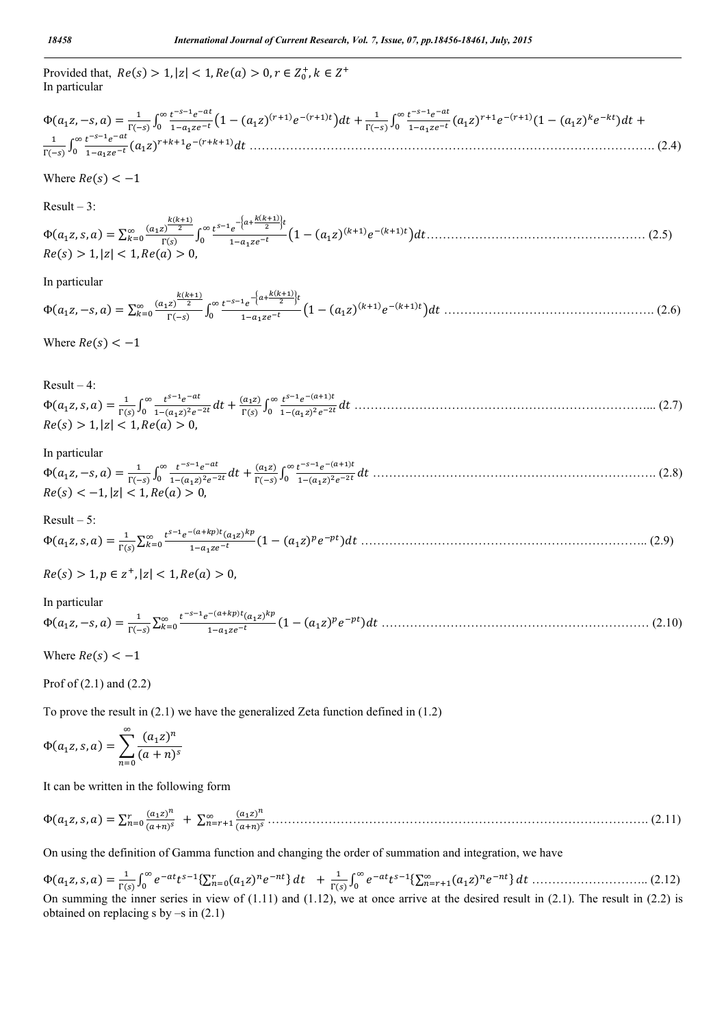Provided that,  $Re(s) > 1, |z| < 1, Re(a) > 0, r \in Z_0^+, k \in Z^+$ In particular

$$
\Phi(a_1z, -s, a) = \frac{1}{\Gamma(-s)} \int_0^\infty \frac{t^{-s-1}e^{-at}}{1-a_1ze^{-t}} \left(1 - (a_1z)^{(r+1)}e^{-(r+1)t}\right)dt + \frac{1}{\Gamma(-s)} \int_0^\infty \frac{t^{-s-1}e^{-at}}{1-a_1ze^{-t}} (a_1z)^{r+1}e^{-(r+1)}(1 - (a_1z)^ke^{-kt})dt + \frac{1}{\Gamma(-s)} \int_0^\infty \frac{t^{-s-1}e^{-at}}{1-a_1ze^{-t}} (a_1z)^{r+1}e^{-(r+1)}(1 - (a_1z)^ke^{-kt})dt + \frac{1}{\Gamma(-s)} \int_0^\infty \frac{t^{-s-1}e^{-at}}{1-a_1ze^{-t}} (a_1z)^{r+1}e^{-(r+1)}(1 - (a_1z)^ke^{-kt})dt + \frac{1}{\Gamma(-s)} \int_0^\infty \frac{t^{-s-1}e^{-at}}{1-a_1ze^{-t}} (1 - (a_1z)^ke^{-kt})dt + \frac{1}{\Gamma(-s)} \int_0^\infty \frac{t^{-s-1}e^{-at}}{1-a_1ze^{-t}} (1 - (a_1z)^ke^{-kt})dt + \frac{1}{\Gamma(-s)} \int_0^\infty \frac{t^{-s-1}e^{-at}}{1-a_1ze^{-t}} (1 - (a_1z)^ke^{-kt})dt + \frac{1}{\Gamma(-s)} \int_0^\infty \frac{t^{-s-1}e^{-at}}{1-a_1ze^{-t}} (1 - (a_1z)^ke^{-kt})dt + \frac{1}{\Gamma(-s)} \int_0^\infty \frac{t^{-s-1}e^{-at}}{1-a_1ze^{-t}} (1 - (a_1z)^ke^{-kt})dt + \frac{1}{\Gamma(-s)} \int_0^\infty \frac{t^{-s-1}e^{-at}}{1-a_1ze^{-t}} (1 - (a_1z)^ke^{-kt})dt + \frac{1}{\Gamma(-s)} \int_0^\infty \frac{t^{-s-1}e^{-at}}{1-a_1ze^{-t}} (1 - (a_1z)^ke^{-kt})dt + \frac{1}{\Gamma(-s)} \int_0^\infty \frac{t^{-s-1}e^{-at}}{1-a_1ze^{-t}} (1 - (a_1z)^ke^{-kt})dt + \frac{1}{\Gamma(-s)} \int_0^\infty \frac{t^{-s-1}e^{-at}}{1
$$

Where  $Re(s) < -1$ 

 $Result - 3:$ 

 $\Phi(a_1 z, s, a) = \sum_{k=0}^{\infty} \frac{(a_1 z)^{\frac{k(k+1)}{2}}}{\Gamma(s)}$  $\Gamma(s)$  $\sum_{k=0}^{\infty} \frac{(a_1 z)^{\frac{k(k+1)}{2}}}{\Gamma(s)} \int_0^{\infty} \frac{t^{s-1} e^{-\left[a+\frac{k(k+1)}{2}\right]t}}{1-a_1 z e^{-t}} \left(1-(a_1 z)^{(k+1)} e^{-(k+1)t}\right) dt \dots \dots \dots \dots \dots \dots \dots \dots \dots \dots \tag{2.5}$  $Re(s) > 1, |z| < 1, Re(a) > 0$ 

In particular

Φ(, −, ) <sup>=</sup> <sup>∑</sup> () () () <sup>∫</sup> () 1 <sup>−</sup> ()() () ……………………………………………. (2.6)

Where  $Re(s) < -1$ 

Result –  $4$ <sup>.</sup>

 $\Phi(a_1 z, s, a) = \frac{1}{\Gamma(s)} \int_0^\infty \frac{t^{s-1} e^{-at}}{1 - (a_1 z)^2 e^{-2t}} dt + \frac{(a_1 z)}{\Gamma(s)} \int_0^\infty \frac{t^{s-1} e^{-(a+1)t}}{1 - (a_1 z)^2 e^{-2t}} dt$  $\int_0^{\infty} \frac{t^{s-1}e^{-at}}{1-(a_1z)^2e^{-2t}}dt + \frac{(a_1z)}{\Gamma(s)} \int_0^{\infty} \frac{t^{s-1}e^{-(a+1)t}}{1-(a_1z)^2e^{-2t}}dt$  $Re(s) > 1, |z| < 1, Re(a) >$ 

### In particular

Φ(, −, ) <sup>=</sup> () <sup>∫</sup> () <sup>+</sup> () () <sup>∫</sup> () () ……………………………………………………………. (2.8) () < −1, || < 1, () > 0,

Result – 5: Φ(, , ) <sup>=</sup> () <sup>∑</sup> ()() (1 − ()) …………………………………………………………….. (2.9)

$$
Re(s) > 1, p \in z^+, |z| < 1, Re(a) > 0,
$$

In particular

Φ(, −, ) <sup>=</sup> () <sup>∑</sup> ()() (1 − ()) ………………………………………………………… (2.10)

Where  $Re(s) < -1$ 

Prof of (2.1) and (2.2)

To prove the result in (2.1) we have the generalized Zeta function defined in (1.2)

$$
\Phi(a_1 z, s, a) = \sum_{n=0}^{\infty} \frac{(a_1 z)^n}{(a+n)^s}
$$

It can be written in the following form

Φ(, , ) <sup>=</sup> <sup>∑</sup> () () <sup>+</sup> <sup>∑</sup> () () …………………………………………………………………………………. (2.11)

On using the definition of Gamma function and changing the order of summation and integration, we have

Φ(, , ) <sup>=</sup> () <sup>∫</sup> {∑ () } <sup>+</sup> () <sup>∫</sup> {∑ () } ……………………….. (2.12) On summing the inner series in view of  $(1.11)$  and  $(1.12)$ , we at once arrive at the desired result in  $(2.1)$ . The result in  $(2.2)$  is obtained on replacing s by  $-s$  in  $(2.1)$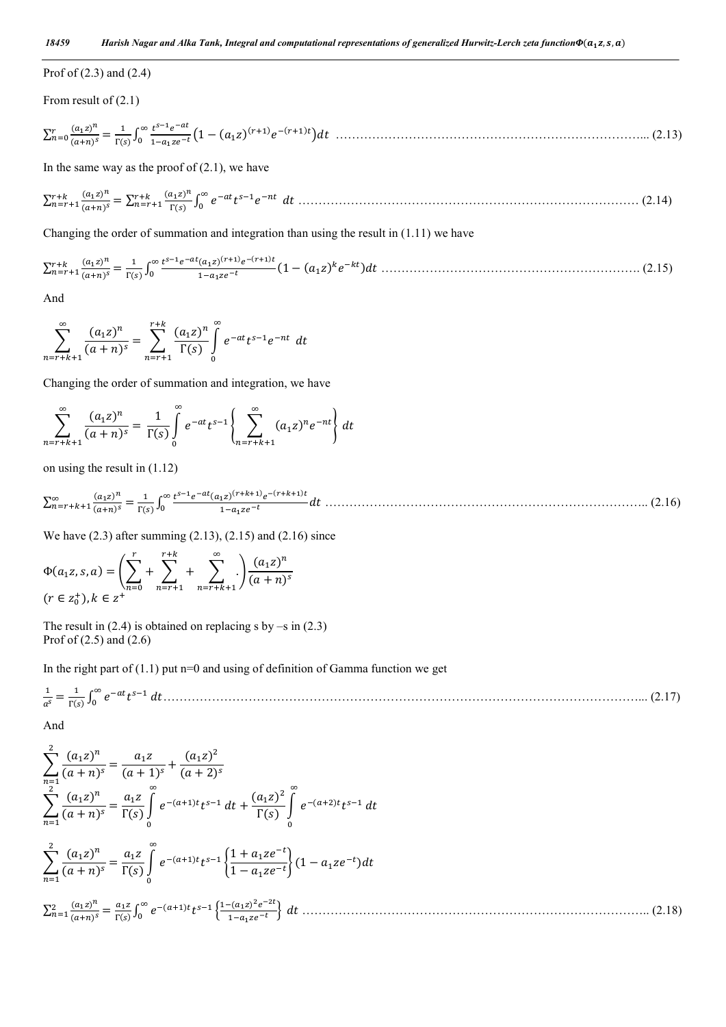### Prof of (2.3) and (2.4)

From result of (2.1)

<sup>∑</sup> () () <sup>=</sup> () <sup>∫</sup> 1 <sup>−</sup> ()() () …………………………………………………………………... (2.13)

In the same way as the proof of  $(2.1)$ , we have

<sup>∑</sup> () () <sup>=</sup> <sup>∑</sup> () () <sup>∫</sup> ………………………………………………………………………… (2.14)

Changing the order of summation and integration than using the result in (1.11) we have

<sup>∑</sup> () () <sup>=</sup> () <sup>∫</sup> ()() () (1 <sup>−</sup> ()) ………………………………………………………. (2.15)

And

$$
\sum_{n=r+k+1}^{\infty} \frac{(a_1 z)^n}{(a+n)^s} = \sum_{n=r+1}^{r+k} \frac{(a_1 z)^n}{\Gamma(s)} \int_{0}^{\infty} e^{-at} t^{s-1} e^{-nt} dt
$$

Changing the order of summation and integration, we have

$$
\sum_{n=r+k+1}^{\infty} \frac{(a_1 z)^n}{(a+n)^s} = \frac{1}{\Gamma(s)} \int_{0}^{\infty} e^{-at} t^{s-1} \left\{ \sum_{n=r+k+1}^{\infty} (a_1 z)^n e^{-nt} \right\} dt
$$

on using the result in (1.12)

<sup>∑</sup> () () <sup>=</sup> () <sup>∫</sup> ()() () …………………………………………………………………….. (2.16)

We have (2.3) after summing (2.13), (2.15) and (2.16) since

$$
\Phi(a_1 z, s, a) = \left(\sum_{n=0}^r + \sum_{n=r+1}^{r+k} + \sum_{n=r+k+1}^{\infty} \right) \frac{(a_1 z)^n}{(a+n)^s}
$$
  
(r \in z\_0^+), k \in z^+

The result in  $(2.4)$  is obtained on replacing s by –s in  $(2.3)$ Prof of (2.5) and (2.6)

In the right part of  $(1.1)$  put n=0 and using of definition of Gamma function we get

 <sup>=</sup> () <sup>∫</sup> ………………………………………………………………………………………………………... (2.17)

And

$$
\sum_{n=1}^{2} \frac{(a_1 z)^n}{(a+n)^s} = \frac{a_1 z}{(a+1)^s} + \frac{(a_1 z)^2}{(a+2)^s}
$$
  
\n
$$
\sum_{n=1}^{2} \frac{(a_1 z)^n}{(a+n)^s} = \frac{a_1 z}{\Gamma(s)} \int_{0}^{\infty} e^{-(a+1)t} t^{s-1} dt + \frac{(a_1 z)^2}{\Gamma(s)} \int_{0}^{\infty} e^{-(a+2)t} t^{s-1} dt
$$
  
\n
$$
\sum_{n=1}^{2} \frac{(a_1 z)^n}{(a+n)^s} = \frac{a_1 z}{\Gamma(s)} \int_{0}^{\infty} e^{-(a+1)t} t^{s-1} \left\{ \frac{1 + a_1 z e^{-t}}{1 - a_1 z e^{-t}} \right\} (1 - a_1 z e^{-t}) dt
$$
  
\n
$$
\sum_{n=1}^{2} \frac{(a_1 z)^n}{(a+n)^s} = \frac{a_1 z}{\Gamma(s)} \int_{0}^{\infty} e^{-(a+1)t} t^{s-1} \left\{ \frac{1 - (a_1 z)^2 e^{-2t}}{1 - a_1 z e^{-t}} \right\} dt \dots
$$
\n(2.18)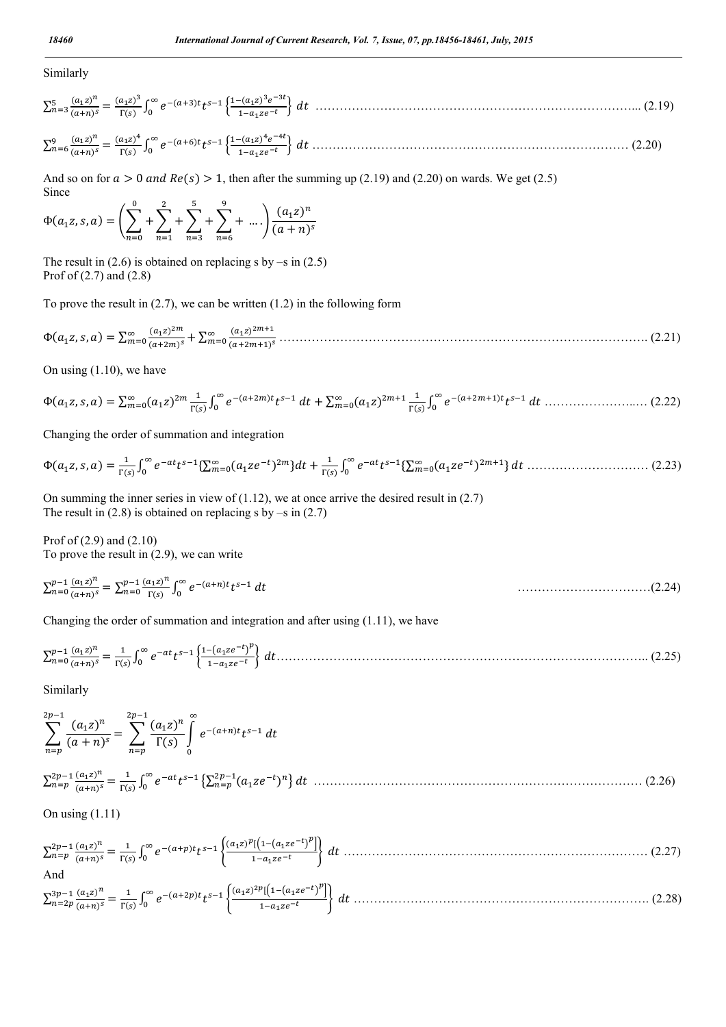### Similarly

$$
\sum_{n=3}^{5} \frac{(a_1 z)^n}{(a+n)^s} = \frac{(a_1 z)^3}{\Gamma(s)} \int_0^\infty e^{-(a+3)t} t^{s-1} \left\{ \frac{1 - (a_1 z)^3 e^{-3t}}{1 - a_1 z e^{-t}} \right\} dt \dots
$$
\n
$$
\sum_{n=6}^{9} \frac{(a_1 z)^n}{(a+n)^s} = \frac{(a_1 z)^n}{\Gamma(s)} \int_0^\infty e^{-(a+6)t} t^{s-1} \left\{ \frac{1 - (a_1 z)^4 e^{-4t}}{1 - a_1 z e^{-t}} \right\} dt \dots
$$
\n(2.20)

And so on for  $a > 0$  and  $Re(s) > 1$ , then after the summing up (2.19) and (2.20) on wards. We get (2.5) Since

$$
\Phi(a_1 z, s, a) = \left(\sum_{n=0}^{0} + \sum_{n=1}^{2} + \sum_{n=3}^{5} + \sum_{n=6}^{9} + \dots\right) \frac{(a_1 z)^n}{(a + n)^s}
$$

The result in  $(2.6)$  is obtained on replacing s by  $-$ s in  $(2.5)$ Prof of (2.7) and (2.8)

To prove the result in  $(2.7)$ , we can be written  $(1.2)$  in the following form

Φ(, , ) <sup>=</sup> <sup>∑</sup> () () <sup>+</sup> <sup>∑</sup> () () ………………………………………………………………………………. (2.21)

On using (1.10), we have

Φ(, , ) = ∑ () () <sup>∫</sup> () <sup>+</sup> <sup>∑</sup> () () <sup>∫</sup> () …………………..… (2.22)

Changing the order of summation and integration

$$
\Phi(a_1 z, s, a) = \frac{1}{\Gamma(s)} \int_0^\infty e^{-at} t^{s-1} \{\sum_{m=0}^\infty (a_1 z e^{-t})^{2m}\} dt + \frac{1}{\Gamma(s)} \int_0^\infty e^{-at} t^{s-1} \{\sum_{m=0}^\infty (a_1 z e^{-t})^{2m+1}\} dt \dots \dots \dots \dots \dots \dots \dots \dots \dots \tag{2.23}
$$

On summing the inner series in view of  $(1.12)$ , we at once arrive the desired result in  $(2.7)$ The result in  $(2.8)$  is obtained on replacing s by –s in  $(2.7)$ 

Prof of (2.9) and (2.10) To prove the result in (2.9), we can write

$$
\sum_{n=0}^{p-1} \frac{(a_1 z)^n}{(a+n)^s} = \sum_{n=0}^{p-1} \frac{(a_1 z)^n}{\Gamma(s)} \int_0^\infty e^{-(a+n)t} t^{s-1} dt
$$
 (2.24)

Changing the order of summation and integration and after using (1.11), we have

<sup>∑</sup> () () <sup>=</sup> () <sup>∫</sup> ……………………………………………………………………………….. (2.25)

Similarly

$$
\sum_{n=p}^{2p-1} \frac{(a_1 z)^n}{(a+n)^s} = \sum_{n=p}^{2p-1} \frac{(a_1 z)^n}{\Gamma(s)} \int_0^\infty e^{-(a+n)t} t^{s-1} dt
$$
  

$$
\sum_{n=p}^{2p-1} \frac{(a_1 z)^n}{(a+n)^s} = \frac{1}{\Gamma(s)} \int_0^\infty e^{-at} t^{s-1} \left\{ \sum_{n=p}^{2p-1} (a_1 z e^{-t})^n \right\} dt
$$
...(2.26)

On using (1.11)

$$
\sum_{n=p}^{2p-1} \frac{(a_1 z)^n}{(a+n)^s} = \frac{1}{\Gamma(s)} \int_0^\infty e^{-(a+p)t} t^{s-1} \left\{ \frac{(a_1 z)^p [(1-(a_1 z e^{-t})^p]]}{1-a_1 z e^{-t}} \right\} dt \dots
$$
\nAnd\n
$$
\sum_{n=2p}^{3p-1} \frac{(a_1 z)^n}{(a+n)^s} = \frac{1}{\Gamma(s)} \int_0^\infty e^{-(a+2p)t} t^{s-1} \left\{ \frac{(a_1 z)^{2p} [(1-(a_1 z e^{-t})^p]]}{1-a_1 z e^{-t}} \right\} dt \dots
$$
\n(2.28)